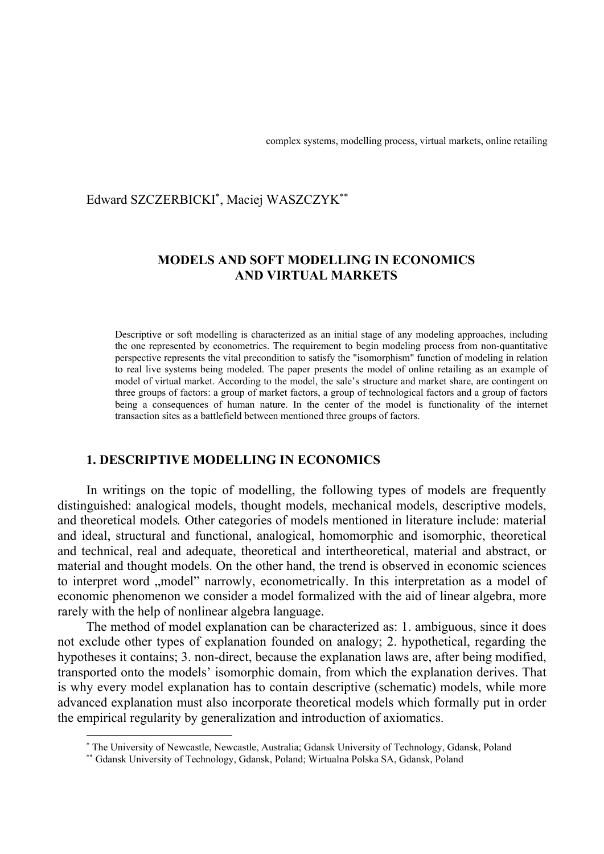## Edward SZCZERBICKI\* , Maciej WASZCZYK\*\*

# **MODELS AND SOFT MODELLING IN ECONOMICS AND VIRTUAL MARKETS**

Descriptive or soft modelling is characterized as an initial stage of any modeling approaches, including the one represented by econometrics. The requirement to begin modeling process from non-quantitative perspective represents the vital precondition to satisfy the "isomorphism" function of modeling in relation to real live systems being modeled. The paper presents the model of online retailing as an example of model of virtual market. According to the model, the sale's structure and market share, are contingent on three groups of factors: a group of market factors, a group of technological factors and a group of factors being a consequences of human nature. In the center of the model is functionality of the internet transaction sites as a battlefield between mentioned three groups of factors.

#### **1. DESCRIPTIVE MODELLING IN ECONOMICS**

In writings on the topic of modelling, the following types of models are frequently distinguished: analogical models, thought models, mechanical models, descriptive models, and theoretical models*.* Other categories of models mentioned in literature include: material and ideal, structural and functional, analogical, homomorphic and isomorphic, theoretical and technical, real and adequate, theoretical and intertheoretical, material and abstract, or material and thought models. On the other hand, the trend is observed in economic sciences to interpret word "model" narrowly, econometrically. In this interpretation as a model of economic phenomenon we consider a model formalized with the aid of linear algebra, more rarely with the help of nonlinear algebra language.

The method of model explanation can be characterized as: 1. ambiguous, since it does not exclude other types of explanation founded on analogy; 2. hypothetical, regarding the hypotheses it contains; 3. non-direct, because the explanation laws are, after being modified, transported onto the models' isomorphic domain, from which the explanation derives. That is why every model explanation has to contain descriptive (schematic) models, while more advanced explanation must also incorporate theoretical models which formally put in order the empirical regularity by generalization and introduction of axiomatics.

<sup>\*</sup> The University of Newcastle, Newcastle, Australia; Gdansk University of Technology, Gdansk, Poland

<sup>\*\*</sup> Gdansk University of Technology, Gdansk, Poland; Wirtualna Polska SA, Gdansk, Poland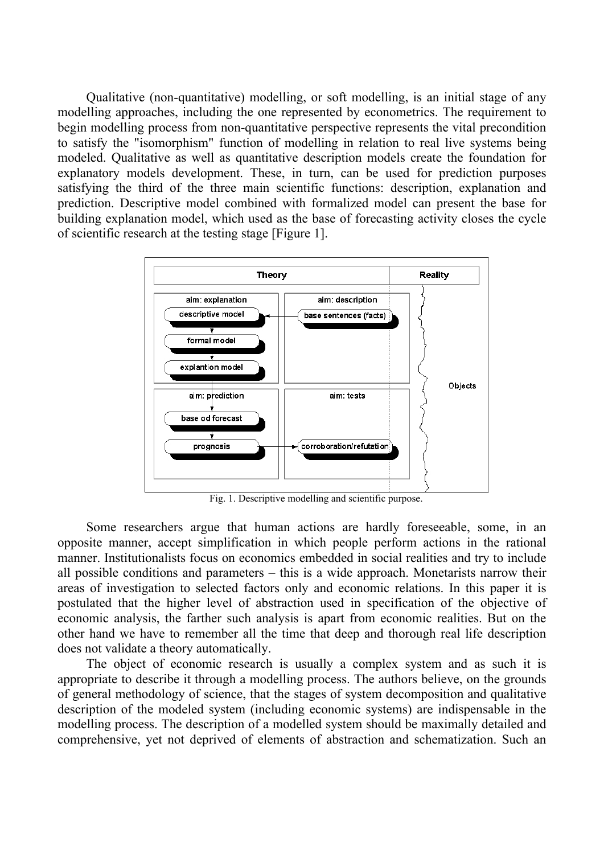Qualitative (non-quantitative) modelling, or soft modelling, is an initial stage of any modelling approaches, including the one represented by econometrics. The requirement to begin modelling process from non-quantitative perspective represents the vital precondition to satisfy the "isomorphism" function of modelling in relation to real live systems being modeled. Qualitative as well as quantitative description models create the foundation for explanatory models development. These, in turn, can be used for prediction purposes satisfying the third of the three main scientific functions: description, explanation and prediction. Descriptive model combined with formalized model can present the base for building explanation model, which used as the base of forecasting activity closes the cycle of scientific research at the testing stage [Figure 1].



Fig. 1. Descriptive modelling and scientific purpose.

Some researchers argue that human actions are hardly foreseeable, some, in an opposite manner, accept simplification in which people perform actions in the rational manner. Institutionalists focus on economics embedded in social realities and try to include all possible conditions and parameters – this is a wide approach. Monetarists narrow their areas of investigation to selected factors only and economic relations. In this paper it is postulated that the higher level of abstraction used in specification of the objective of economic analysis, the farther such analysis is apart from economic realities. But on the other hand we have to remember all the time that deep and thorough real life description does not validate a theory automatically.

The object of economic research is usually a complex system and as such it is appropriate to describe it through a modelling process. The authors believe, on the grounds of general methodology of science, that the stages of system decomposition and qualitative description of the modeled system (including economic systems) are indispensable in the modelling process. The description of a modelled system should be maximally detailed and comprehensive, yet not deprived of elements of abstraction and schematization. Such an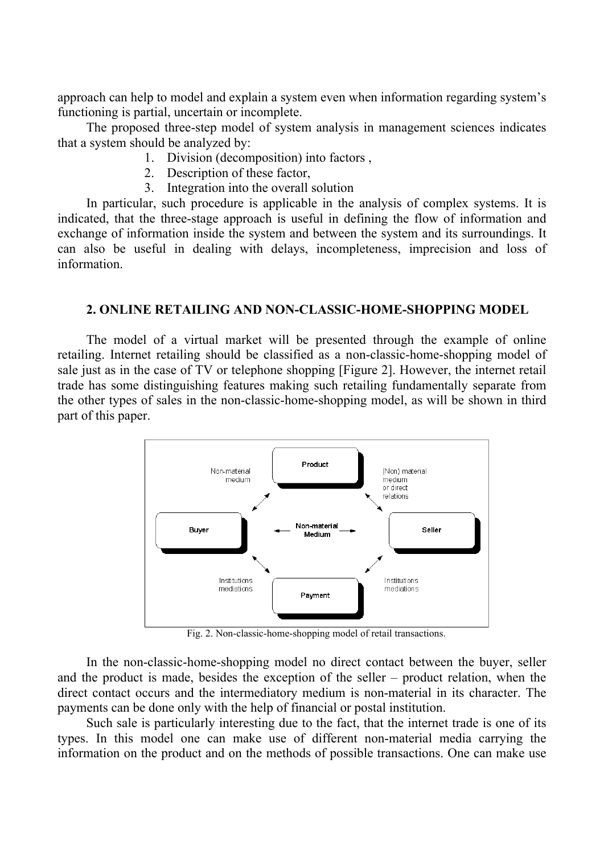approach can help to model and explain a system even when information regarding system's functioning is partial, uncertain or incomplete.

The proposed three-step model of system analysis in management sciences indicates that a system should be analyzed by:

- 1. Division (decomposition) into factors ,
- 2. Description of these factor,
- 3. Integration into the overall solution

In particular, such procedure is applicable in the analysis of complex systems. It is indicated, that the three-stage approach is useful in defining the flow of information and exchange of information inside the system and between the system and its surroundings. It can also be useful in dealing with delays, incompleteness, imprecision and loss of information.

### **2. ONLINE RETAILING AND NON-CLASSIC-HOME-SHOPPING MODEL**

The model of a virtual market will be presented through the example of online retailing. Internet retailing should be classified as a non-classic-home-shopping model of sale just as in the case of TV or telephone shopping [Figure 2]. However, the internet retail trade has some distinguishing features making such retailing fundamentally separate from the other types of sales in the non-classic-home-shopping model, as will be shown in third part of this paper.



Fig. 2. Non-classic-home-shopping model of retail transactions.

In the non-classic-home-shopping model no direct contact between the buyer, seller and the product is made, besides the exception of the seller – product relation, when the direct contact occurs and the intermediatory medium is non-material in its character. The payments can be done only with the help of financial or postal institution.

Such sale is particularly interesting due to the fact, that the internet trade is one of its types. In this model one can make use of different non-material media carrying the information on the product and on the methods of possible transactions. One can make use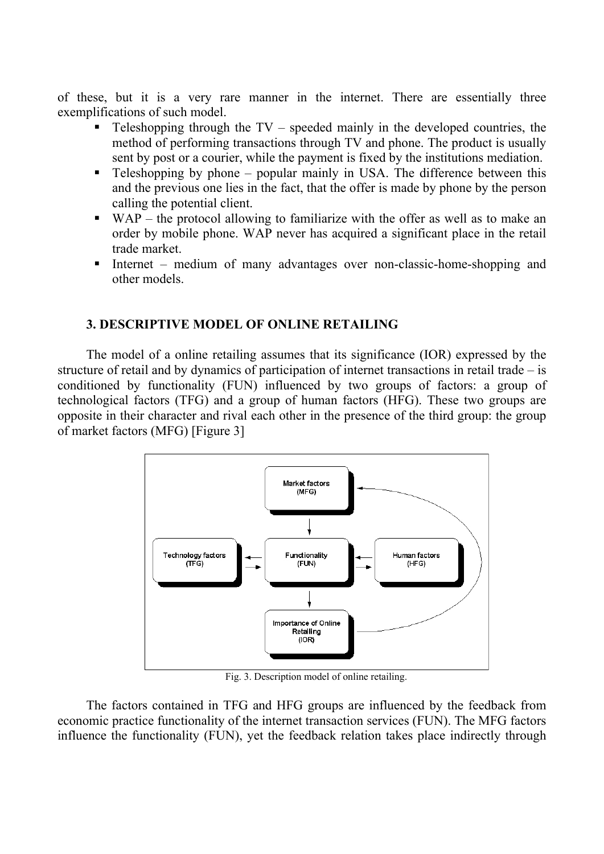of these, but it is a very rare manner in the internet. There are essentially three exemplifications of such model.

- **Teleshopping through the TV** speeded mainly in the developed countries, the method of performing transactions through TV and phone. The product is usually sent by post or a courier, while the payment is fixed by the institutions mediation.
- **Teleshopping by phone popular mainly in USA.** The difference between this and the previous one lies in the fact, that the offer is made by phone by the person calling the potential client.
- WAP the protocol allowing to familiarize with the offer as well as to make an order by mobile phone. WAP never has acquired a significant place in the retail trade market.
- Internet medium of many advantages over non-classic-home-shopping and other models.

# **3. DESCRIPTIVE MODEL OF ONLINE RETAILING**

The model of a online retailing assumes that its significance (IOR) expressed by the structure of retail and by dynamics of participation of internet transactions in retail trade – is conditioned by functionality (FUN) influenced by two groups of factors: a group of technological factors (TFG) and a group of human factors (HFG). These two groups are opposite in their character and rival each other in the presence of the third group: the group of market factors (MFG) [Figure 3]



Fig. 3. Description model of online retailing.

The factors contained in TFG and HFG groups are influenced by the feedback from economic practice functionality of the internet transaction services (FUN). The MFG factors influence the functionality (FUN), yet the feedback relation takes place indirectly through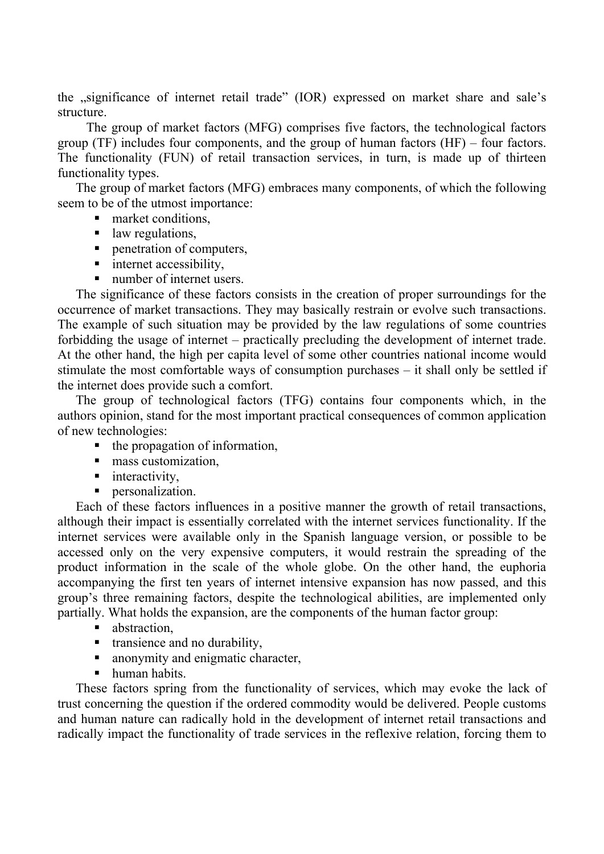the "significance of internet retail trade" (IOR) expressed on market share and sale's structure.

The group of market factors (MFG) comprises five factors, the technological factors group (TF) includes four components, and the group of human factors (HF) – four factors. The functionality (FUN) of retail transaction services, in turn, is made up of thirteen functionality types.

The group of market factors (MFG) embraces many components, of which the following seem to be of the utmost importance:

- market conditions.
- law regulations,
- **Penetration of computers,**
- nternet accessibility,
- number of internet users.

The significance of these factors consists in the creation of proper surroundings for the occurrence of market transactions. They may basically restrain or evolve such transactions. The example of such situation may be provided by the law regulations of some countries forbidding the usage of internet – practically precluding the development of internet trade. At the other hand, the high per capita level of some other countries national income would stimulate the most comfortable ways of consumption purchases – it shall only be settled if the internet does provide such a comfort.

The group of technological factors (TFG) contains four components which, in the authors opinion, stand for the most important practical consequences of common application of new technologies:

- $\blacksquare$  the propagation of information,
- $\blacksquare$  mass customization.
- $\blacksquare$  interactivity,
- **personalization.**

Each of these factors influences in a positive manner the growth of retail transactions, although their impact is essentially correlated with the internet services functionality. If the internet services were available only in the Spanish language version, or possible to be accessed only on the very expensive computers, it would restrain the spreading of the product information in the scale of the whole globe. On the other hand, the euphoria accompanying the first ten years of internet intensive expansion has now passed, and this group's three remaining factors, despite the technological abilities, are implemented only partially. What holds the expansion, are the components of the human factor group:

- **abstraction.**
- transience and no durability,
- anonymity and enigmatic character,
- human habits.

These factors spring from the functionality of services, which may evoke the lack of trust concerning the question if the ordered commodity would be delivered. People customs and human nature can radically hold in the development of internet retail transactions and radically impact the functionality of trade services in the reflexive relation, forcing them to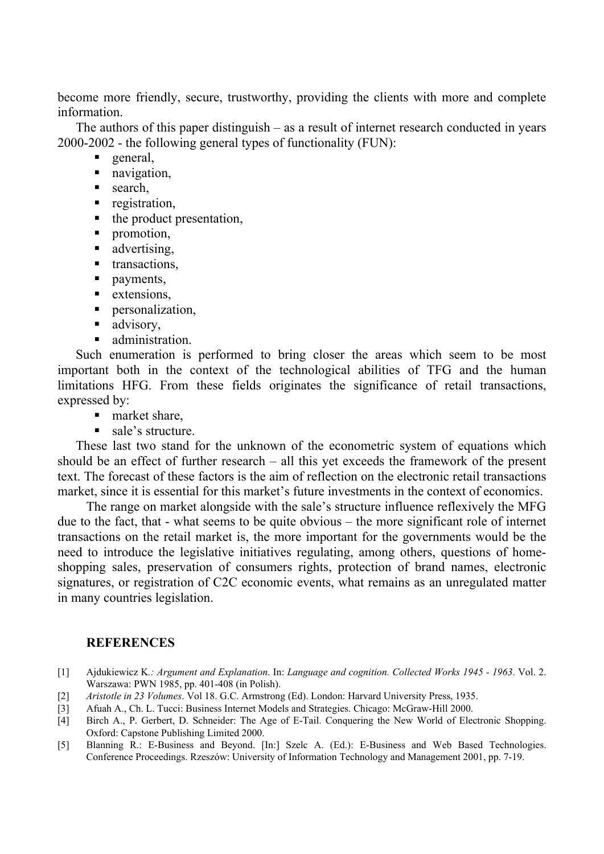become more friendly, secure, trustworthy, providing the clients with more and complete information.

The authors of this paper distinguish – as a result of internet research conducted in years 2000-2002 - the following general types of functionality (FUN):

- general,
- navigation,
- search.
- **registration,**
- $\blacksquare$  the product presentation,
- **promotion,**
- **advertising**,
- **transactions,**
- payments,
- **extensions,**
- **personalization,**
- advisory,
- administration.

Such enumeration is performed to bring closer the areas which seem to be most important both in the context of the technological abilities of TFG and the human limitations HFG. From these fields originates the significance of retail transactions, expressed by:

- market share,
- sale's structure.

These last two stand for the unknown of the econometric system of equations which should be an effect of further research – all this yet exceeds the framework of the present text. The forecast of these factors is the aim of reflection on the electronic retail transactions market, since it is essential for this market's future investments in the context of economics.

The range on market alongside with the sale's structure influence reflexively the MFG due to the fact, that - what seems to be quite obvious – the more significant role of internet transactions on the retail market is, the more important for the governments would be the need to introduce the legislative initiatives regulating, among others, questions of homeshopping sales, preservation of consumers rights, protection of brand names, electronic signatures, or registration of C2C economic events, what remains as an unregulated matter in many countries legislation.

## **REFERENCES**

- [1] Ajdukiewicz K*.: Argument and Explanation*. In: *Language and cognition. Collected Works 1945 1963*. Vol. 2. Warszawa: PWN 1985, pp. 401-408 (in Polish).
- [2] *Aristotle in 23 Volumes*. Vol 18. G.C. Armstrong (Ed). London: Harvard University Press, 1935.
- [3] Afuah A., Ch. L. Tucci: Business Internet Models and Strategies. Chicago: McGraw-Hill 2000.
- [4] Birch A., P. Gerbert, D. Schneider: The Age of E-Tail. Conquering the New World of Electronic Shopping. Oxford: Capstone Publishing Limited 2000.
- [5] Blanning R.: E-Business and Beyond. [In:] Szelc A. (Ed.): E-Business and Web Based Technologies. Conference Proceedings. Rzeszów: University of Information Technology and Management 2001, pp. 7-19.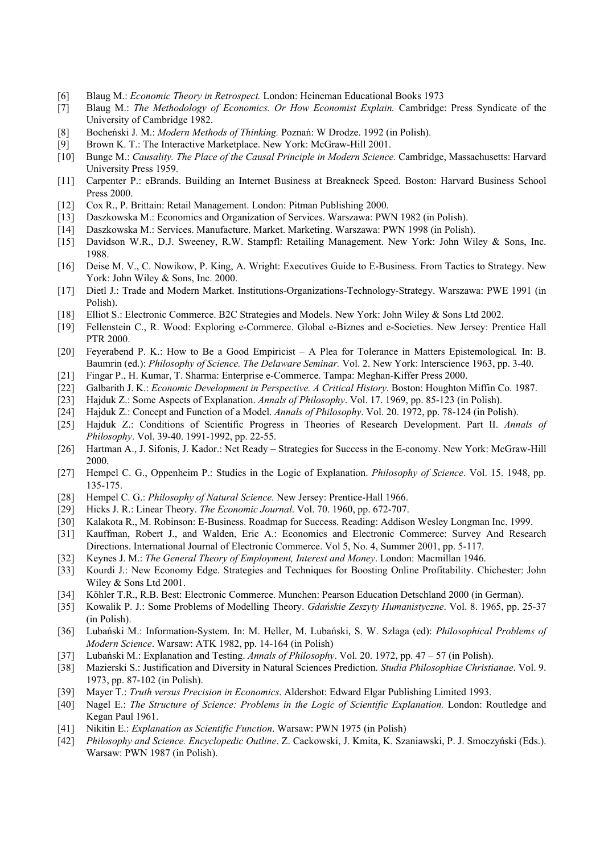- [6] Blaug M.: *Economic Theory in Retrospect.* London: Heineman Educational Books 1973
- [7] Blaug M.: *The Methodology of Economics. Or How Economist Explain.* Cambridge: Press Syndicate of the University of Cambridge 1982.
- [8] Bocheński J. M.: *Modern Methods of Thinking.* Poznań: W Drodze. 1992 (in Polish).
- [9] Brown K. T.: The Interactive Marketplace. New York: McGraw-Hill 2001.
- [10] Bunge M.: *Causality. The Place of the Causal Principle in Modern Science.* Cambridge, Massachusetts: Harvard University Press 1959.
- [11] Carpenter P.: eBrands. Building an Internet Business at Breakneck Speed. Boston: Harvard Business School Press 2000.
- [12] Cox R., P. Brittain: Retail Management. London: Pitman Publishing 2000.
- [13] Daszkowska M.: Economics and Organization of Services. Warszawa: PWN 1982 (in Polish).
- [14] Daszkowska M.: Services. Manufacture. Market. Marketing. Warszawa: PWN 1998 (in Polish).
- [15] Davidson W.R., D.J. Sweeney, R.W. Stampfl: Retailing Management. New York: John Wiley & Sons, Inc. 1988.
- [16] Deise M. V., C. Nowikow, P. King, A. Wright: Executives Guide to E-Business. From Tactics to Strategy. New York: John Wiley & Sons, Inc. 2000.
- [17] Dietl J.: Trade and Modern Market. Institutions-Organizations-Technology-Strategy. Warszawa: PWE 1991 (in Polish).
- [18] Elliot S.: Electronic Commerce. B2C Strategies and Models. New York: John Wiley & Sons Ltd 2002.
- [19] Fellenstein C., R. Wood: Exploring e-Commerce. Global e-Biznes and e-Societies. New Jersey: Prentice Hall PTR 2000.
- [20] Feyerabend P. K.: How to Be a Good Empiricist A Plea for Tolerance in Matters Epistemological*.* In: B. Baumrin (ed.): *Philosophy of Science. The Delaware Seminar.* Vol. 2. New York: Interscience 1963, pp. 3-40.
- [21] Fingar P., H. Kumar, T. Sharma: Enterprise e-Commerce. Tampa: Meghan-Kiffer Press 2000.
- [22] Galbarith J. K.: *Economic Development in Perspective. A Critical History.* Boston: Houghton Miffin Co. 1987.
- [23] Hajduk Z.: Some Aspects of Explanation. *Annals of Philosophy*. Vol. 17. 1969, pp. 85-123 (in Polish).
- [24] Hajduk Z.: Concept and Function of a Model. *Annals of Philosophy*. Vol. 20. 1972, pp. 78-124 (in Polish).
- [25] Hajduk Z.: Conditions of Scientific Progress in Theories of Research Development. Part II. *Annals of Philosophy*. Vol. 39-40. 1991-1992, pp. 22-55.
- [26] Hartman A., J. Sifonis, J. Kador.: Net Ready Strategies for Success in the E-conomy. New York: McGraw-Hill 2000.
- [27] Hempel C. G., Oppenheim P.: Studies in the Logic of Explanation. *Philosophy of Science*. Vol. 15. 1948, pp. 135-175.
- [28] Hempel C. G.: *Philosophy of Natural Science.* New Jersey: Prentice-Hall 1966.
- [29] Hicks J. R.: Linear Theory. *The Economic Journal*. Vol. 70. 1960, pp. 672-707.
- [30] Kalakota R., M. Robinson: E-Business. Roadmap for Success. Reading: Addison Wesley Longman Inc. 1999.
- [31] Kauffman, Robert J., and Walden, Eric A.: Economics and Electronic Commerce: Survey And Research Directions. International Journal of Electronic Commerce. Vol 5, No. 4, Summer 2001, pp. 5-117.
- [32] Keynes J. M.: *The General Theory of Employment, Interest and Money*. London: Macmillan 1946.
- [33] Kourdi J.: New Economy Edge. Strategies and Techniques for Boosting Online Profitability. Chichester: John Wiley & Sons Ltd 2001.
- [34] Köhler T.R., R.B. Best: Electronic Commerce. Munchen: Pearson Education Detschland 2000 (in German).
- [35] Kowalik P. J.: Some Problems of Modelling Theory. *Gdańskie Zeszyty Humanistyczne*. Vol. 8. 1965, pp. 25-37 (in Polish).
- [36] Lubański M.: Information-System. In: M. Heller, M. Lubański, S. W. Szlaga (ed): *Philosophical Problems of Modern Science*. Warsaw: ATK 1982, pp. 14-164 (in Polish)
- [37] Lubański M.: Explanation and Testing. *Annals of Philosophy*. Vol. 20. 1972, pp. 47 57 (in Polish).
- [38] Mazierski S.: Justification and Diversity in Natural Sciences Prediction*. Studia Philosophiae Christianae*. Vol. 9. 1973, pp. 87-102 (in Polish).
- [39] Mayer T.: *Truth versus Precision in Economics*. Aldershot: Edward Elgar Publishing Limited 1993.
- [40] Nagel E.: *The Structure of Science: Problems in the Logic of Scientific Explanation.* London: Routledge and Kegan Paul 1961.
- [41] Nikitin E.: *Explanation as Scientific Function*. Warsaw: PWN 1975 (in Polish)
- [42] *Philosophy and Science. Encyclopedic Outline*. Z. Cackowski, J. Kmita, K. Szaniawski, P. J. Smoczyński (Eds.). Warsaw: PWN 1987 (in Polish).